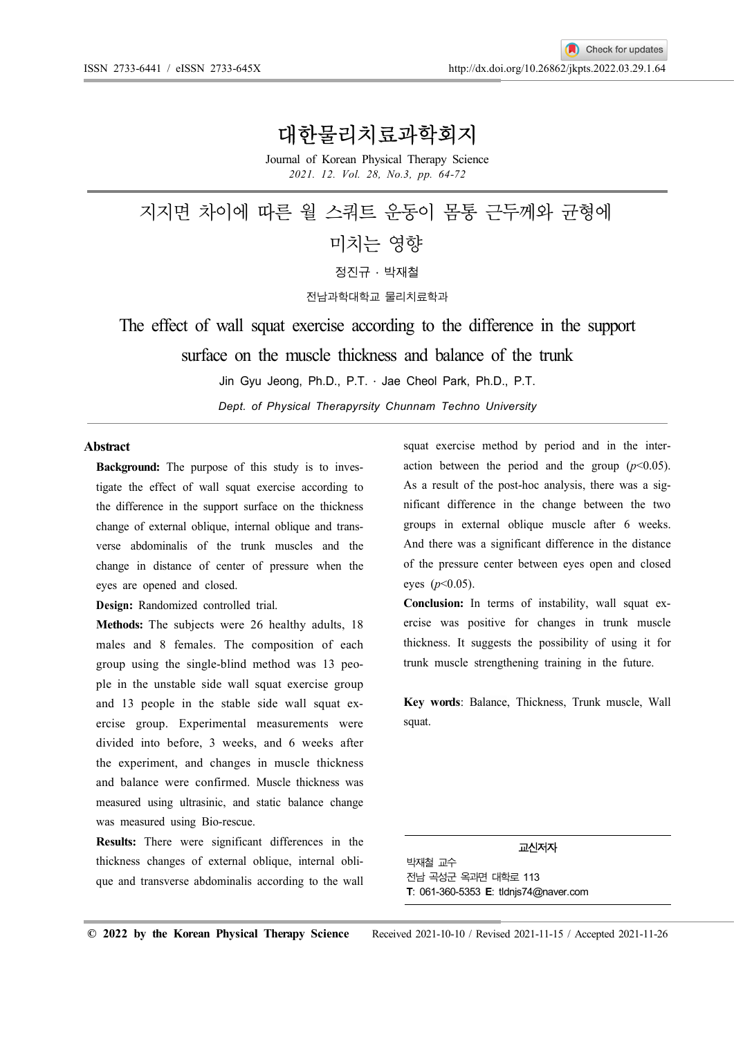## 대한물리치료과학회지

Journal of Korean Physical Therapy Science 2021. 12. Vol. 28, No.3, pp. 64-72

# 지지면 차이에 따른 월 스쿼트 운동이 몸통 근두께와 균형에 미치는 영향  $X \times Y$  • 박재철

전남과학대학교 물리치료학과

The effect of wall squat exercise according to the difference in the support surface on the muscle thickness and balance of the trunk

Jin Gyu Jeong, Ph.D., P.T.  $\cdot$  Jae Cheol Park, Ph.D., P.T.

Dept. of Physical Therapyrsity Chunnam Techno University

#### Abstract

Background: The purpose of this study is to investigate the effect of wall squat exercise according to the difference in the support surface on the thickness change of external oblique, internal oblique and transverse abdominalis of the trunk muscles and the change in distance of center of pressure when the eyes are opened and closed.

Design: Randomized controlled trial.

Methods: The subjects were 26 healthy adults, 18 males and 8 females. The composition of each group using the single-blind method was 13 people in the unstable side wall squat exercise group and 13 people in the stable side wall squat exercise group. Experimental measurements were divided into before, 3 weeks, and 6 weeks after the experiment, and changes in muscle thickness and balance were confirmed. Muscle thickness was measured using ultrasinic, and static balance change was measured using Bio-rescue.

Results: There were significant differences in the thickness changes of external oblique, internal oblique and transverse abdominalis according to the wall

squat exercise method by period and in the interaction between the period and the group  $(p<0.05)$ . As a result of the post-hoc analysis, there was a significant difference in the change between the two groups in external oblique muscle after 6 weeks. And there was a significant difference in the distance of the pressure center between eyes open and closed eyes  $(p<0.05)$ .

Conclusion: In terms of instability, wall squat exercise was positive for changes in trunk muscle thickness. It suggests the possibility of using it for trunk muscle strengthening training in the future.

Key words: Balance, Thickness, Trunk muscle, Wall squat.

#### 교신저자

박재철 교수 전남 곡성군 옥과면 대학로 113 T: 061-360-5353 E: tldnjs74@naver.com

© 2022 by the Korean Physical Therapy Science Received 2021-10-10 / Revised 2021-11-15 / Accepted 2021-11-26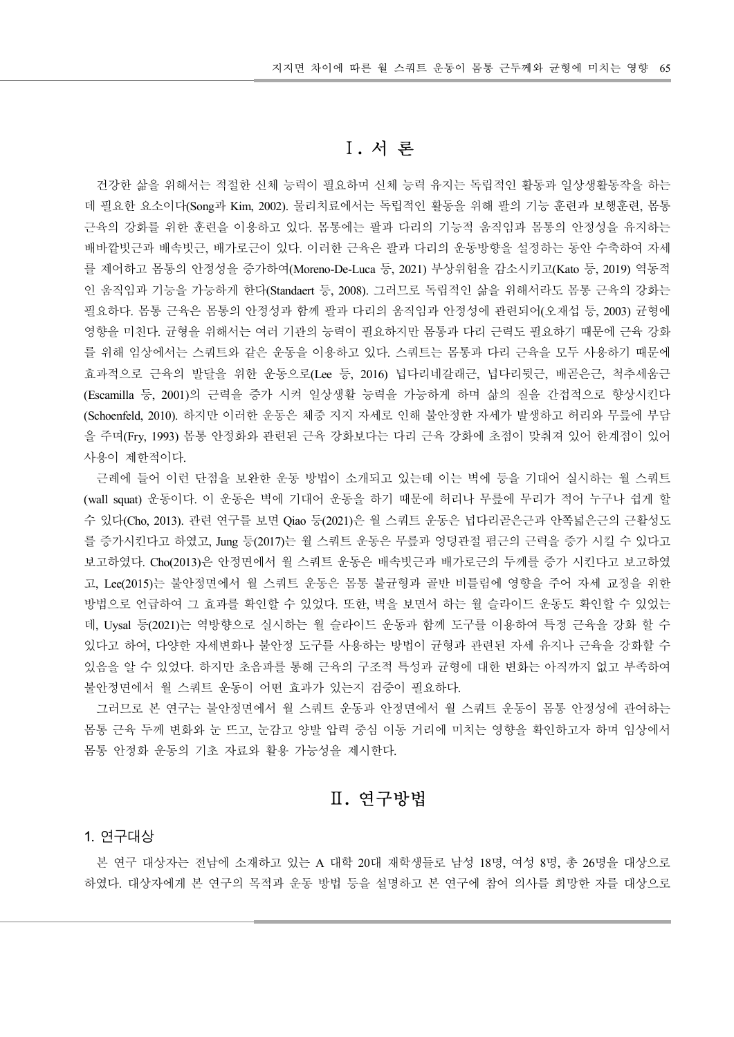## Ⅰ. 서 론

건강한 삶을 위해서는 적절한 신체 능력이 필요하며 신체 능력 유지는 독립적인 활동과 일상생활동작을 하는 데 필요한 요소이다(Song과 Kim, 2002). 물리치료에서는 독립적인 활동을 위해 팔의 기능 훈련과 보행훈련, 몸통 근육의 강화를 위한 훈련을 이용하고 있다 몸통에는 팔과 다리의 기능적 움직임과 몸통의 안정성을 유지하는 . 배바깥빗근과 배속빗근, 배가로근이 있다. 이러한 근육은 팔과 다리의 운동방향을 설정하는 동안 수축하여 자세 를 제어하고 몸통의 안정성을 증가하여(Moreno-De-Luca 등, 2021) 부상위험을 감소시키고(Kato 등, 2019) 역동적 인 움직임과 기능을 가능하게 한다(Standaert 등, 2008). 그러므로 독립적인 삶을 위해서라도 몸통 근육의 강화는 필요하다. 몸통 근육은 몸통의 안정성과 함께 팔과 다리의 움직임과 안정성에 관련되어(오재섭 등, 2003) 균형에 영향을 미친다. 균형을 위해서는 여러 기관의 능력이 필요하지만 몸통과 다리 근력도 필요하기 때문에 근육 강화 를 위해 임상에서는 스쿼트와 같은 운동을 이용하고 있다. 스쿼트는 몸통과 다리 근육을 모두 사용하기 때문에 효과적으로 근육의 발달을 위한 운동으로(Lee 등, 2016) 넙다리네갈래근, 넙다리뒷근, 배곧은근, 척추세움근 (Escamilla 등, 2001)의 근력을 증가 시켜 일상생활 능력을 가능하게 하며 삶의 질을 간접적으로 향상시킨다 (Schoenfeld, 2010). 하지만 이러한 운동은 체중 지지 자세로 인해 불안정한 자세가 발생하고 허리와 무릎에 부담 을 주며(Fry, 1993) 몸통 안정화와 관련된 근육 강화보다는 다리 근육 강화에 초점이 맞춰져 있어 한계점이 있어 사용이 제한적이다.

근례에 들어 이런 단점을 보완한 운동 방법이 소개되고 있는데 이는 벽에 등을 기대어 실시하는 월 스쿼트 (wall squat) 운동이다. 이 운동은 벽에 기대어 운동을 하기 때문에 허리나 무릎에 무리가 적어 누구나 쉽게 할 수 있다(Cho, 2013). 관련 연구를 보면 Oiao 등(2021)은 월 스쿼트 운동은 넙다리곧은근과 안쪽넓은근의 근활성도 를 증가시킨다고 하였고, Jung 등(2017)는 월 스쿼트 운동은 무릎과 엉덩관절 폄근의 근력을 증가 시킬 수 있다고 보고하였다. Cho(2013)은 안정면에서 월 스쿼트 운동은 배속빗근과 배가로근의 두께를 증가 시킨다고 보고하였 고, Lee(2015)는 불안정면에서 월 스쿼트 운동은 몸통 불균형과 골반 비틀림에 영향을 주어 자세 교정을 위한 방법으로 언급하여 그 효과를 확인할 수 있었다. 또한, 벽을 보면서 하는 월 슬라이드 운동도 확인할 수 있었는 데, Uysal 등(2021)는 역방향으로 실시하는 월 슬라이드 운동과 함께 도구를 이용하여 특정 근육을 강화 할 수 있다고 하여, 다양한 자세변화나 불안정 도구를 사용하는 방법이 균형과 관련된 자세 유지나 근육을 강화할 수 있음을 알 수 있었다. 하지만 초음파를 통해 근육의 구조적 특성과 균형에 대한 변화는 아직까지 없고 부족하여 불안정면에서 월 스쿼트 운동이 어떤 효과가 있는지 검증이 필요하다.

그러므로 본 연구는 불안정면에서 월 스쿼트 운동과 안정면에서 월 스쿼트 운동이 몸통 안정성에 관여하는 몸통 근육 두께 변화와 눈 뜨고, 눈감고 양발 압력 중심 이동 거리에 미치는 영향을 확인하고자 하며 임상에서 몸통 안정화 운동의 기초 자료와 활용 가능성을 제시한다.

## Ⅱ. 연구방법

#### 1. 연구대상

본 연구 대상자는 전남에 소재하고 있는 A 대학 20대 재학생들로 남성 18명, 여성 8명, 총 26명을 대상으로 하였다 대상자에게 본 연구의 목적과 운동 방법 등을 설명하고 본 연구에 참여 의사를 희망한 자를 대상으로 .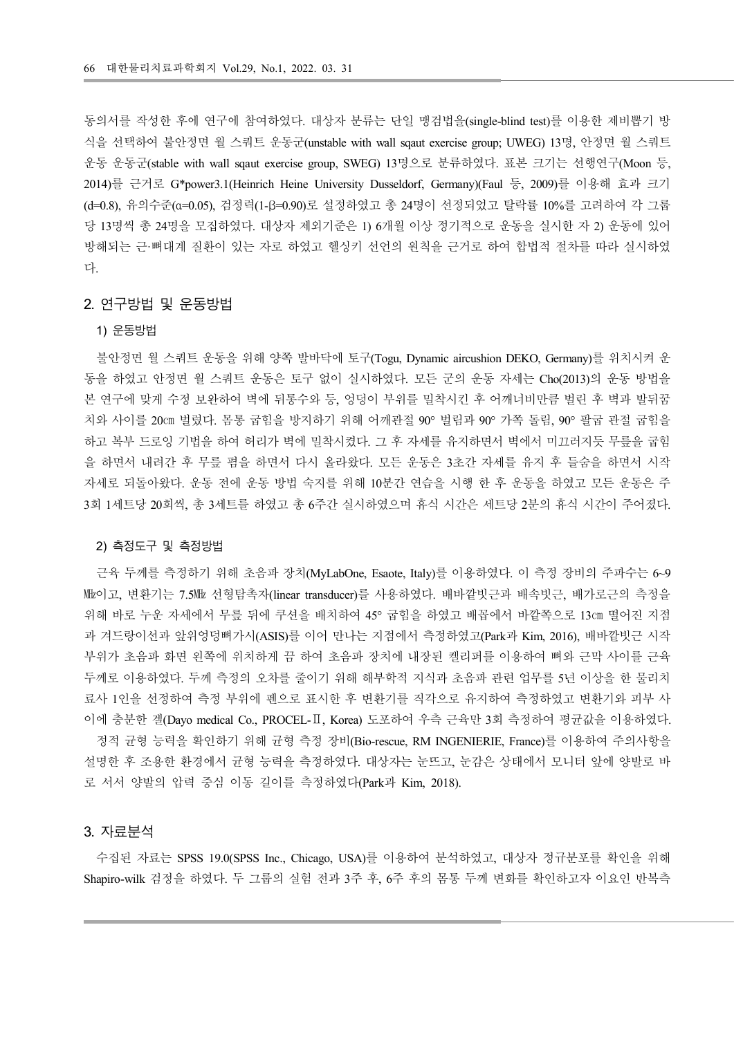동의서를 작성한 후에 연구에 참여하였다. 대상자 분류는 단일 맹검법을(single-blind test)를 이용한 제비뽑기 방 식을 선택하여 불안정면 월 스쿼트 운동군(unstable with wall sqaut exercise group; UWEG) 13명, 안정면 월 스쿼트 운동 운동군(stable with wall sqaut exercise group, SWEG) 13명으로 분류하였다. 표본 크기는 선행연구(Moon 등, 2014)를 근거로 G\*power3.1(Heinrich Heine University Dusseldorf, Germany)(Faul 등, 2009)를 이용해 효과 크기 (d=0.8), 유의수준(α=0.05), 검정력(1-β=0.90)로 설정하였고 총 24명이 선정되었고 탈락률 10%를 고려하여 각 그룹 당 13명씩 총 24명을 모집하였다. 대상자 제외기준은 1) 6개월 이상 정기적으로 운동을 실시한 자 2) 운동에 있어 방해되는 근·뼈대계 질환이 있는 자로 하였고 헬싱키 선언의 원칙을 근거로 하여 합법적 절차를 따라 실시하였 다.

#### 2. 연구방법 및 운동방법

#### 1) 운동방법

불안정면 월 스쿼트 운동을 위해 양쪽 발바닥에 토구(Togu, Dynamic aircushion DEKO, Germany)를 위치시켜 운 동을 하였고 안정면 월 스쿼트 운동은 토구 없이 실시하였다. 모든 군의 운동 자세는 Cho(2013)의 운동 방법을 본 연구에 맞게 수정 보완하여 벽에 뒤통수와 등, 엉덩이 부위를 밀착시킨 후 어깨너비만큼 벌린 후 벽과 발뒤꿈 치와 사이를 20cm 벌렸다. 몸통 굽힘을 방지하기 위해 어깨관절 90° 벌림과 90° 가쪽 돌림, 90° 팔굽 관절 굽힘을 하고 복부 드로잉 기법을 하여 허리가 벽에 밀착시켰다. 그 후 자세를 유지하면서 벽에서 미끄러지듯 무릎을 굽힘 을 하면서 내려간 후 무릎 폄을 하면서 다시 올라왔다. 모든 운동은 3초간 자세를 유지 후 들숨을 하면서 시작 자세로 되돌아왔다. 운동 전에 운동 방법 숙지를 위해 10분간 연습을 시행 한 후 운동을 하였고 모든 운동은 주 3회 1세트당 20회씩, 총 3세트를 하였고 총 6주간 실시하였으며 휴식 시간은 세트당 2분의 휴식 시간이 주어졌다.

#### 2) 측정도구 및 측정방법

근육 두께를 측정하기 위해 초음파 장치(MyLabOne, Esaote, Italy)를 이용하였다. 이 측정 장비의 주파수는 6~9 Mbo]고, 변환기는 7.5Mb 선형탐촉자(linear transducer)를 사용하였다. 배바깥빗근과 배속빗근, 배가로근의 측정을 위해 바로 누운 자세에서 무릎 뒤에 쿠션을 배치하여 45° 굽힘을 하였고 배꼽에서 바깥쪽으로 13㎝ 떨어진 지점 과 겨드랑이선과 앞위엉덩뼈가시(ASIS)를 이어 만나는 지점에서 측정하였고(Park과 Kim, 2016), 배바깥빗근 시작 부위가 초음파 화면 왼쪽에 위치하게 끔 하여 초음파 장치에 내장된 켈리퍼를 이용하여 뼈와 근막 사이를 근육 두께로 이용하였다. 두께 측정의 오차를 줄이기 위해 해부학적 지식과 초음파 관련 업무를 5년 이상을 한 물리치 료사 1인을 선정하여 측정 부위에 펜으로 표시한 후 변환기를 직각으로 유지하여 측정하였고 변환기와 피부 사 이에 충분한 겔(Dayo medical Co., PROCEL- II, Korea) 도포하여 우측 근육만 3회 측정하여 평균값을 이용하였다.

정적 균형 능력을 확인하기 위해 균형 측정 장비(Bio-rescue, RM INGENIERIE, France)를 이용하여 주의사항을 설명한 후 조용한 환경에서 균형 능력을 측정하였다. 대상자는 눈뜨고, 눈감은 상태에서 모니터 앞에 양발로 바 로 서서 양발의 압력 중심 이동 길이를 측정하였다(Park과 Kim, 2018).

#### 3. 자료분석

수집된 자료는 SPSS 19.0(SPSS Inc., Chicago, USA)를 이용하여 분석하였고, 대상자 정규분포를 확인을 위해 Shapiro-wilk 검정을 하였다. 두 그룹의 실험 전과 3주 후, 6주 후의 몸통 두께 변화를 확인하고자 이요인 반복측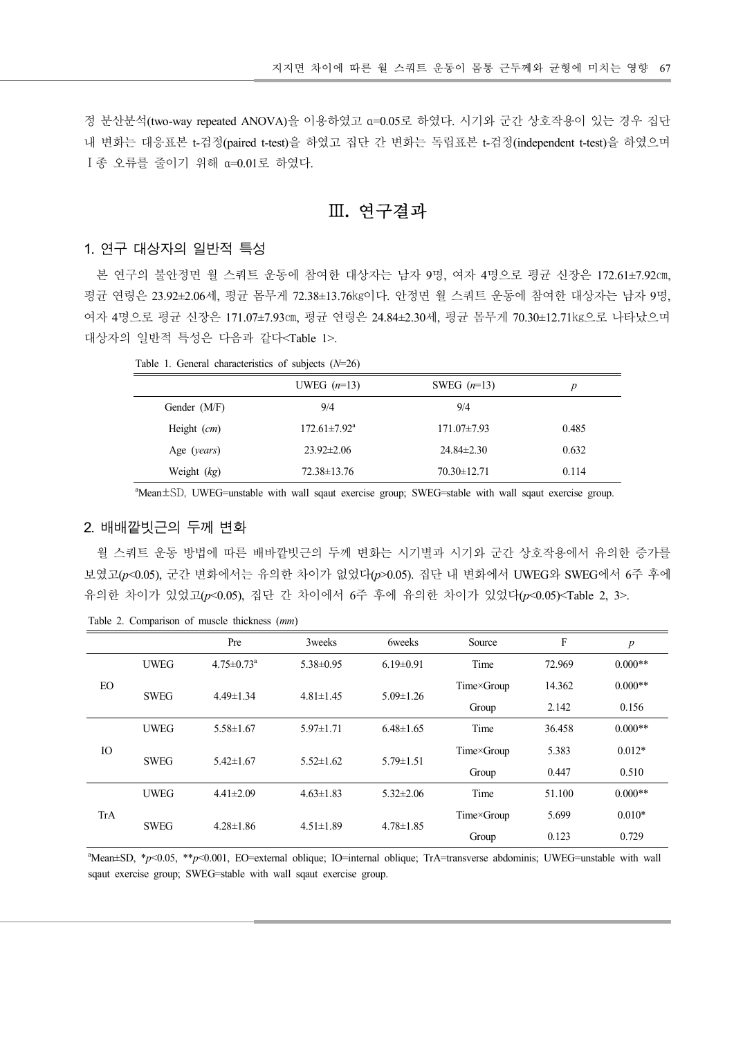정 분산분석(two-way repeated ANOVA)을 이용하였고 α=0.05로 하였다. 시기와 군간 상호작용이 있는 경우 집단 내 변화는 대응표본 t-검정(paired t-test)을 하였고 집단 간 변화는 독립표본 t-검정(independent t-test)을 하였으며 Ι 종 오류를 줄이기 위해 α=0.01로 하였다.

Ⅲ. 연구결과

#### 1. 연구 대상자의 일반적 특성

본 연구의 불안정면 월 스쿼트 운동에 참여한 대상자는 남자 9명, 여자 4명으로 평균 신장은 172.61±7.92cm, 평균 연령은 23.92±2.06세, 평균 몸무게 72.38±13.76kg이다. 안정면 월 스쿼트 운동에 참여한 대상자는 남자 9명, 여자 4명으로 평균 신장은 171.07±7.93㎝, 평균 연령은 24.84±2.30세, 평균 몸무게 70.30±12.71kg으로 나타났으며 대상자의 일반적 특성은 다음과 같다<Table 1>.

|  | Table 1. General characteristics of subjects $(N=26)$ |  |  |
|--|-------------------------------------------------------|--|--|
|--|-------------------------------------------------------|--|--|

| -를 줄이기 위해 α=0.01로 하였다.                                | 석(two-way repeated ANOVA)을 이용하였고 α=0.05로 하였다. 시기와 군간 상호작용이 있는 경우 집단<br>· 대응표본 t-검정(paired t-test)을 하였고 집단 간 변화는 독립표본 t-검정(independent t-test)을 하였으며 |                   |                  |
|-------------------------------------------------------|-----------------------------------------------------------------------------------------------------------------------------------------------------|-------------------|------------------|
|                                                       | Ⅲ. 연구결과                                                                                                                                             |                   |                  |
| 대상자의 일반적 특성                                           |                                                                                                                                                     |                   |                  |
|                                                       | ·의 불안정면 월 스쿼트 운동에 참여한 대상자는 남자 9명, 여자 4명으로 평균 신장은 172.61±7.92cm,                                                                                     |                   |                  |
|                                                       | 은 23.92±2.06세, 평균 몸무게 72.38±13.76kg이다. 안정면 월 스쿼트 운동에 참여한 대상자는 남자 9명,                                                                                |                   |                  |
|                                                       | 으로 평균 신장은 171.07±7.93㎝, 평균 연령은 24.84±2.30세, 평균 몸무게 70.30±12.71㎏으로 나타났으며                                                                             |                   |                  |
| 일반적 특성은 다음과 같다 <table 1="">.</table>                  |                                                                                                                                                     |                   |                  |
| Table 1. General characteristics of subjects $(N=26)$ |                                                                                                                                                     |                   |                  |
|                                                       | UWEG $(n=13)$                                                                                                                                       | SWEG $(n=13)$     | $\boldsymbol{p}$ |
| Gender (M/F)                                          | 9/4                                                                                                                                                 | 9/4               |                  |
| Height $(cm)$                                         | $172.61 \pm 7.92^{\text{a}}$                                                                                                                        | 171.07±7.93       | 0.485            |
| Age (years)                                           | $23.92 \pm 2.06$                                                                                                                                    | $24.84 \pm 2.30$  | 0.632            |
| Weight $(kg)$                                         | $72.38 \pm 13.76$                                                                                                                                   | $70.30 \pm 12.71$ | 0.114            |
|                                                       | "Mean±SD, UWEG=unstable with wall sqaut exercise group; SWEG=stable with wall sqaut exercise group.                                                 |                   |                  |
|                                                       |                                                                                                                                                     |                   |                  |
| "빗근의 두께 변화                                            |                                                                                                                                                     |                   |                  |
|                                                       | lE 으도 바버에 jrl르 베바까비그이 드께 벼하느 치기벼고 치기이 구가 사충자요에서 으이하 즈가르                                                                                             |                   |                  |

#### 2. 배배깥빗근의 두께 변화

|           |                 |                                              | UWEG $(n=13)$       |                 | SWEG $(n=13)$                                                                                                                | p                         |                  |
|-----------|-----------------|----------------------------------------------|---------------------|-----------------|------------------------------------------------------------------------------------------------------------------------------|---------------------------|------------------|
|           |                 | Gender (M/F)                                 | 9/4                 |                 | 9/4                                                                                                                          |                           |                  |
|           |                 | Height (cm)                                  | $172.61 \pm 7.92^a$ |                 | 171.07±7.93                                                                                                                  | 0.485                     |                  |
|           |                 | Age (years)                                  | 23.92±2.06          |                 | 24.84±2.30                                                                                                                   | 0.632                     |                  |
|           |                 | Weight $(kg)$                                | 72.38±13.76         |                 | 70.30±12.71                                                                                                                  | 0.114                     |                  |
|           |                 |                                              |                     |                 | <sup>a</sup> Mean <sup>±SD</sup> , UWEG=unstable with wall sqaut exercise group; SWEG=stable with wall sqaut exercise group. |                           |                  |
|           |                 |                                              |                     |                 |                                                                                                                              |                           |                  |
|           | 2. 배배깥빗근의 두께 변화 |                                              |                     |                 |                                                                                                                              |                           |                  |
|           |                 |                                              |                     |                 | 월 스쿼트 운동 방법에 따른 배바깥빗근의 두께 변화는 시기별과 시기와 군간 상호작용에서 유의한 증가를                                                                     |                           |                  |
|           |                 |                                              |                     |                 |                                                                                                                              |                           |                  |
|           |                 |                                              |                     |                 | 보였고(p<0.05), 군간 변화에서는 유의한 차이가 없었다(p>0.05). 집단 내 변화에서 UWEG와 SWEG에서 6주 후에                                                      |                           |                  |
|           |                 |                                              |                     |                 | 유의한 차이가 있었고(p<0.05), 집단 간 차이에서 6주 후에 유의한 차이가 있었다(p<0.05) <table 2,="" 3="">.</table>                                         |                           |                  |
|           |                 | Table 2. Comparison of muscle thickness (mm) |                     |                 |                                                                                                                              |                           |                  |
|           |                 | Pre                                          | 3weeks              | 6weeks          | Source                                                                                                                       | $\boldsymbol{\mathrm{F}}$ | $\boldsymbol{p}$ |
|           |                 |                                              |                     |                 |                                                                                                                              |                           |                  |
|           |                 |                                              |                     |                 |                                                                                                                              |                           |                  |
|           | <b>UWEG</b>     | $4.75 \pm 0.73$ <sup>a</sup>                 | $5.38 \pm 0.95$     | $6.19 \pm 0.91$ | Time                                                                                                                         | 72.969                    | $0.000**$        |
| <b>EO</b> |                 |                                              |                     |                 | Time×Group                                                                                                                   | 14.362                    | $0.000**$        |
|           | <b>SWEG</b>     | $4.49 \pm 1.34$                              | $4.81 \pm 1.45$     | $5.09 \pm 1.26$ | Group                                                                                                                        | 2.142                     | 0.156            |
|           | <b>UWEG</b>     | $5.58 \pm 1.67$                              | $5.97 \pm 1.71$     | $6.48 \pm 1.65$ | Time                                                                                                                         | 36.458                    | $0.000**$        |
| $\rm IO$  |                 |                                              |                     |                 | Time×Group                                                                                                                   | 5.383                     | $0.012*$         |
|           | <b>SWEG</b>     | $5.42 \pm 1.67$                              | $5.52 \pm 1.62$     | $5.79 \pm 1.51$ | Group                                                                                                                        | 0.447                     | 0.510            |
|           | <b>UWEG</b>     | $4.41 \pm 2.09$                              | $4.63 \pm 1.83$     | $5.32 \pm 2.06$ | Time                                                                                                                         | 51.100                    | $0.000**$        |
| TrA       |                 |                                              |                     |                 | Time×Group                                                                                                                   | 5.699                     | $0.010*$         |
|           | <b>SWEG</b>     | $4.28 \pm 1.86$                              | $4.51 \pm 1.89$     | $4.78 \pm 1.85$ | Group                                                                                                                        | 0.123                     | 0.729            |

Table 2. Comparison of muscle thickness (mm)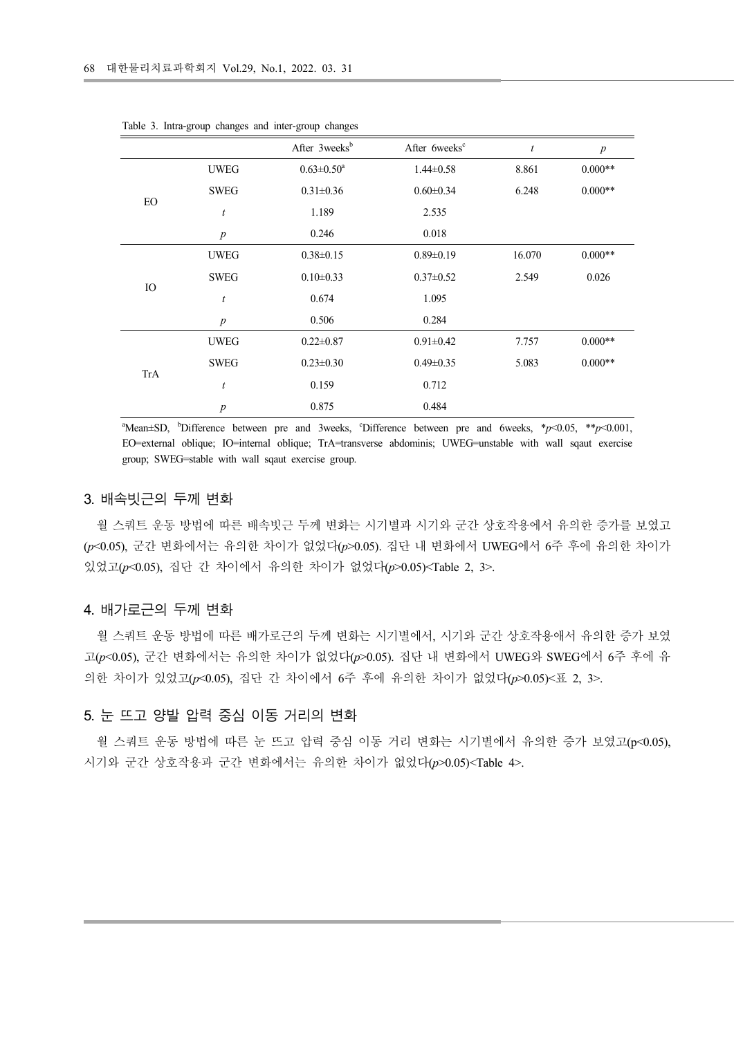|            |                       | 한물리치료과학회지 Vol.29, No.1, 2022. 03. 31                 |                           |                  |                  |
|------------|-----------------------|------------------------------------------------------|---------------------------|------------------|------------------|
|            |                       |                                                      |                           |                  |                  |
|            |                       |                                                      |                           |                  |                  |
|            |                       |                                                      |                           |                  |                  |
|            |                       |                                                      |                           |                  |                  |
|            |                       |                                                      |                           |                  |                  |
|            |                       |                                                      |                           |                  |                  |
|            |                       |                                                      |                           |                  |                  |
|            |                       |                                                      |                           |                  |                  |
|            |                       |                                                      |                           |                  |                  |
|            |                       | Table 3. Intra-group changes and inter-group changes |                           |                  |                  |
|            |                       | After 3weeks <sup>b</sup>                            | After 6weeks <sup>c</sup> | $\boldsymbol{t}$ | $\boldsymbol{p}$ |
|            | <b>UWEG</b>           | $0.63 \pm 0.50^a$                                    | $1.44 \pm 0.58$           | 8.861            | $0.000**$        |
|            | $\operatorname{SWEG}$ | $0.31{\pm}0.36$                                      | $0.60 \pm 0.34$           | 6.248            | $0.000**$        |
| ${\rm EO}$ | $\boldsymbol{t}$      | 1.189                                                | 2.535                     |                  |                  |
|            | $p_{\parallel}$       | 0.246                                                | $0.018\,$                 |                  |                  |
|            | <b>UWEG</b>           | $0.38 \pm 0.15$                                      | $0.89 \pm 0.19$           | 16.070           | $0.000^{**}$     |
|            | ${\tt SWEG}$          | $0.10{\pm}0.33$                                      | $0.37{\pm}0.52$           | 2.549            | 0.026            |
|            |                       | 0.674                                                | 1.095                     |                  |                  |
| $\rm IO$   | t                     |                                                      |                           |                  |                  |
|            | $\boldsymbol{p}$      | 0.506                                                | 0.284                     |                  |                  |
|            | <b>UWEG</b>           | $0.22 \pm 0.87$                                      | $0.91 \pm 0.42$           | 7.757            | $0.000**$        |
|            | $\operatorname{SWEG}$ | $0.23 \pm 0.30$                                      | $0.49 \pm 0.35$           | 5.083            | $0.000**$        |
| <b>TrA</b> | t                     | 0.159                                                | 0.712                     |                  |                  |

Table 3. Intra-group changes and inter-group changes

#### 3. 배속빗근의 두께 변화

월 스쿼트 운동 방법에 따른 배속빗근 두께 변화는 시기별과 시기와 군간 상호작용에서 유의한 증가를 보였고  $(p<0.05)$ , 군간 변화에서는 유의한 차이가 없었다 $(p>0.05)$ . 집단 내 변화에서 UWEG에서 6주 후에 유의한 차이가 있었고( $p$ <0.05), 집단 간 차이에서 유의한 차이가 없었다( $p$ >0.05)<Table 2, 3>.

#### 4. 배가로근의 두께 변화

월 스쿼트 운동 방법에 따른 배가로근의 두께 변화는 시기별에서, 시기와 군간 상호작용애서 유의한 증가 보였 고( $p$ <0.05), 군간 변화에서는 유의한 차이가 없었다 $(p>0.05)$ . 집단 내 변화에서 UWEG와 SWEG에서 6주 후에 유 의한 차이가 있었고( $p<0.05$ ), 집단 간 차이에서 6주 후에 유의한 차이가 없었다( $p>0.05$ )<표 2, 3>.

#### 5. 눈 뜨고 양발 압력 중심 이동 거리의 변화

월 스쿼트 운동 방법에 따른 눈 뜨고 압력 중심 이동 거리 변화는 시기별에서 유의한 증가 보였고(p<0.05), 시기와 군간 상호작용과 군간 변화에서는 유의한 차이가 없었다(p>0.05)<Table 4>.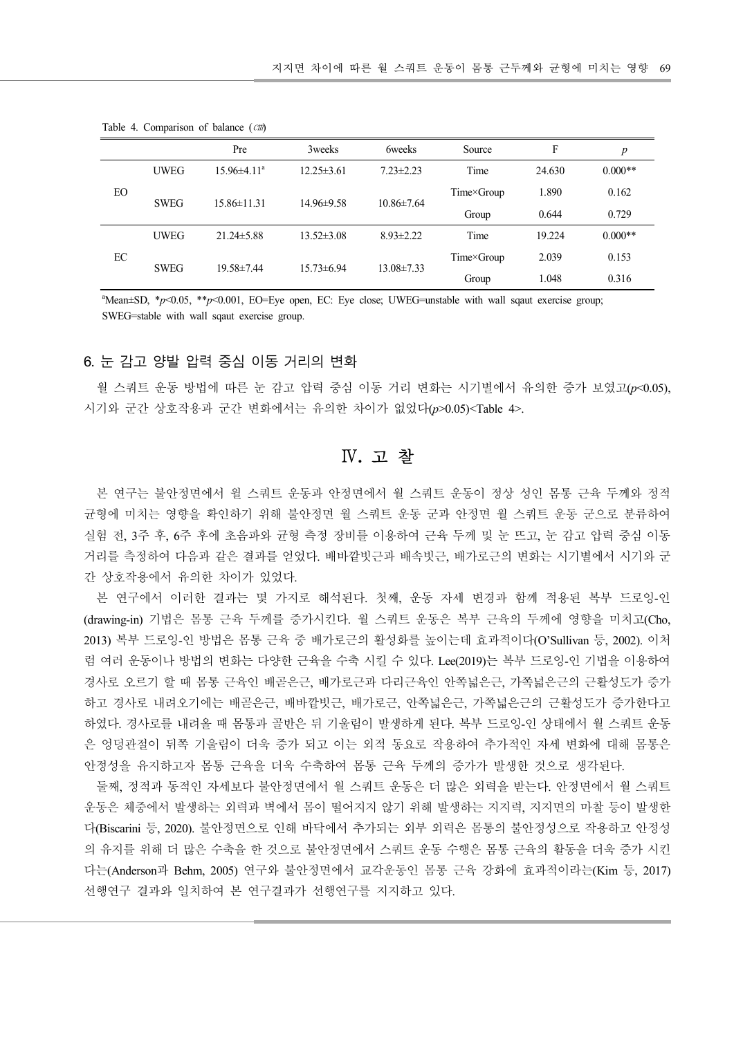|                     |                            |                                     |                  |                  | 지지면 차이에 따른 월 스쿼트 운동이 몸통 근두께와 균형에 미치는 영향 69 |             |                  |
|---------------------|----------------------------|-------------------------------------|------------------|------------------|--------------------------------------------|-------------|------------------|
|                     |                            |                                     |                  |                  |                                            |             |                  |
|                     |                            |                                     |                  |                  |                                            |             |                  |
|                     |                            |                                     |                  |                  |                                            |             |                  |
|                     |                            | Table 4. Comparison of balance (cm) |                  |                  |                                            |             |                  |
|                     |                            | Pre                                 | 3weeks           | <b>6weeks</b>    | Source                                     | $\mathbf F$ | $\boldsymbol{p}$ |
|                     | $\ensuremath{\text{UWEG}}$ | $15.96 \pm 4.11^a$                  | $12.25 \pm 3.61$ | $7.23 \pm 2.23$  | Time                                       | 24.630      | $0.000**$        |
| EO                  |                            |                                     |                  |                  | Time×Group                                 | 1.890       | 0.162            |
|                     | <b>SWEG</b>                | 15.86±11.31                         | 14.96±9.58       | $10.86 \pm 7.64$ | Group                                      | 0.644       | 0.729            |
|                     | $\ensuremath{\text{UWEG}}$ | 21.24±5.88                          | $13.52 \pm 3.08$ | $8.93 \pm 2.22$  | Time                                       | 19.224      | $0.000**$        |
| $\operatorname{EC}$ | <b>SWEG</b>                | 19.58±7.44                          | 15.73±6.94       | 13.08±7.33       | Time×Group                                 | 2.039       | 0.153            |

Table 4. Comparison of balance (㎝)

#### 6. 눈 감고 양발 압력 중심 이동 거리의 변화

월 스쿼트 운동 방법에 따른 눈 감고 압력 중심 이동 거리 변화는 시기별에서 유의한 증가 보였고(p<0.05), 시기와 군간 상호작용과 군간 변화에서는 유의한 차이가 없었다(p>0.05)<Table 4>.

## Ⅳ. 고 찰

본 연구는 불안정면에서 윌 스쿼트 운동과 안정면에서 월 스쿼트 운동이 정상 성인 몸통 근육 두께와 정적 균형에 미치는 영향을 확인하기 위해 불안정면 월 스쿼트 운동 군과 안정면 월 스쿼트 운동 군으로 분류하여 실험 전, 3주 후, 6주 후에 초음파와 균형 측정 장비를 이용하여 근육 두께 및 눈 뜨고, 눈 감고 압력 중심 이동 거리를 측정하여 다음과 같은 결과를 얻었다. 배바깥빗근과 배속빗근, 배가로근의 변화는 시기별에서 시기와 군 간 상호작용에서 유의한 차이가 있었다.

본 연구에서 이러한 결과는 몇 가지로 해석된다. 첫째, 운동 자세 변경과 함께 적용된 복부 드로잉 인 (drawing-in) 기법은 몸통 근육 두께를 증가시킨다. 월 스쿼트 운동은 복부 근육의 두께에 영향을 미치고(Cho, 2013) 복부 드로잉-인 방법은 몸통 근육 중 배가로근의 활성화를 높이는데 효과적이다(O'Sullivan 등, 2002). 이처 럼 여러 운동이나 방법의 변화는 다양한 근육을 수축 시킬 수 있다. Lee(2019)는 복부 드로잉-인 기법을 이용하여 경사로 오르기 할 때 몸통 근육인 배곧은근, 배가로근과 다리근육인 안쪽넓은근, 가쪽넓은근의 근활성도가 증가 하고 경사로 내려오기에는 배곧은근, 배바깥빗근, 배가로근, 안쪽넓은근, 가쪽넓은근의 근활성도가 증가한다고 하였다. 경사로를 내려올 때 몸통과 골반은 뒤 기울림이 발생하게 된다. 복부 드로잉-인 상태에서 월 스쿼트 운동 은 엉덩관절이 뒤쪽 기울림이 더욱 증가 되고 이는 외적 동요로 작용하여 추가적인 자세 변화에 대해 몸통은 안정성을 유지하고자 몸통 근육을 더욱 수축하여 몸통 근육 두께의 증가가 발생한 것으로 생각된다.

둘째, 정적과 동적인 자세보다 불안정면에서 월 스쿼트 운동은 더 많은 외력을 받는다. 안정면에서 월 스쿼트 운동은 체중에서 발생하는 외력과 벽에서 몸이 떨어지지 않기 위해 발생하는 지지력, 지지면의 마찰 등이 발생한 다(Biscarini 등, 2020). 불안정면으로 인해 바닥에서 추가되는 외부 외력은 몸통의 불안정성으로 작용하고 안정성 의 유지를 위해 더 많은 수축을 한 것으로 불안정면에서 스쿼트 운동 수행은 몸통 근육의 활동을 더욱 증가 시킨 다는(Anderson과 Behm, 2005) 연구와 불안정면에서 교각운동인 몸통 근육 강화에 효과적이라는(Kim 등, 2017) 선행연구 결과와 일치하여 본 연구결과가 선행연구를 지지하고 있다.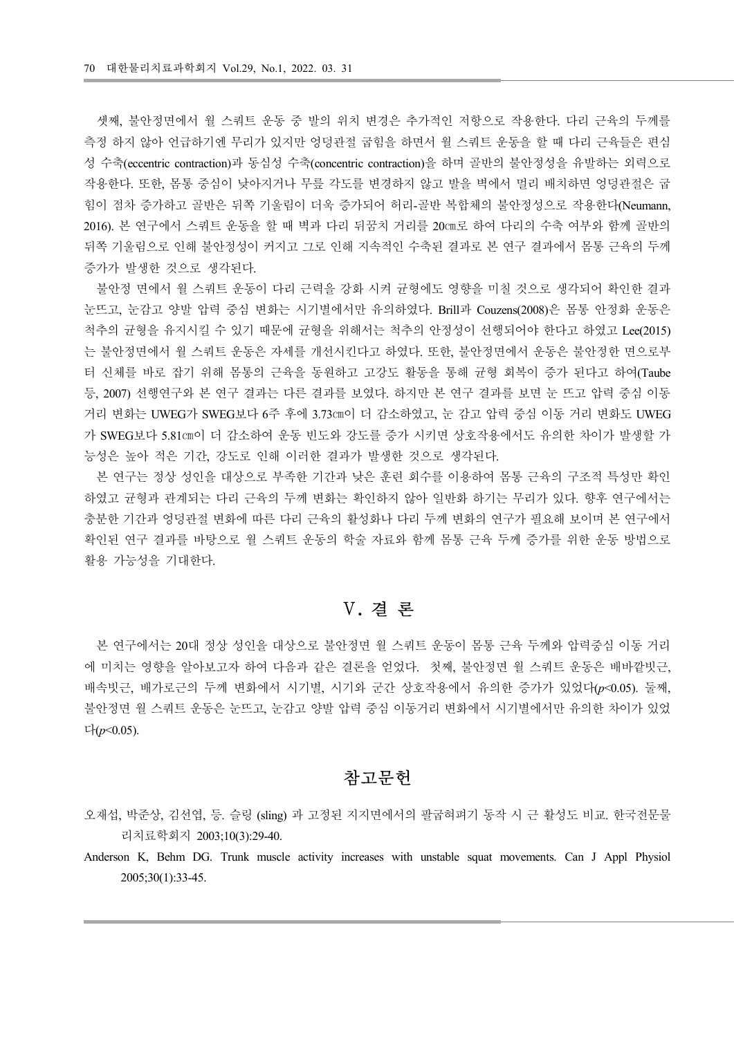셋째, 불안정면에서 월 스쿼트 운동 중 발의 위치 변경은 추가적인 저항으로 작용한다. 다리 근육의 두께를 측정 하지 않아 언급하기엔 무리가 있지만 엉덩관절 굽힘을 하면서 월 스쿼트 운동을 할 때 다리 근육들은 편심 성 수축(eccentric contraction)과 동심성 수축(concentric contraction)을 하며 골반의 불안정성을 유발하는 외력으로 작용한다. 또한, 몸통 중심이 낮아지거나 무릎 각도를 변경하지 않고 발을 벽에서 멀리 배치하면 엉덩관절은 굽 힘이 점차 증가하고 골반은 뒤쪽 기울림이 더욱 증가되어 허리-골반 복합체의 불안정성으로 작용한다(Neumann, 2016). 본 연구에서 스쿼트 운동을 할 때 벽과 다리 뒤꿈치 거리를 20㎝로 하여 다리의 수축 여부와 함께 골반의 뒤쪽 기울림으로 인해 불안정성이 커지고 그로 인해 지속적인 수축된 결과로 본 연구 결과에서 몸통 근육의 두께 증가가 발생한 것으로 생각된다.

불안정 면에서 월 스쿼트 운동이 다리 근력을 강화 시켜 균형에도 영향을 미칠 것으로 생각되어 확인한 결과 눈뜨고, 눈감고 양발 압력 중심 변화는 시기별에서만 유의하였다. Brill과 Couzens(2008)은 몸통 안정화 운동은 척추의 균형을 유지시킬 수 있기 때문에 균형을 위해서는 척추의 안정성이 선행되어야 한다고 하였고 Lee(2015) 는 불안정면에서 월 스쿼트 운동은 자세를 개선시킨다고 하였다. 또한, 불안정면에서 운동은 불안정한 면으로부 터 신체를 바로 잡기 위해 몸통의 근육을 동원하고 고강도 활동을 통해 균형 회복이 증가 된다고 하여(Taube 등, 2007) 선행연구와 본 연구 결과는 다른 결과를 보였다. 하지만 본 연구 결과를 보면 눈 뜨고 압력 중심 이동 거리 변화는 UWEG가 SWEG보다 6주 후에 3.73cm이 더 감소하였고, 눈 감고 압력 중심 이동 거리 변화도 UWEG 가 SWEG보다 5.81㎝이 더 감소하여 운동 빈도와 강도를 증가 시키면 상호작용에서도 유의한 차이가 발생할 가 능성은 높아 적은 기간, 강도로 인해 이러한 결과가 발생한 것으로 생각된다.

본 연구는 정상 성인을 대상으로 부족한 기간과 낮은 훈련 회수를 이용하여 몸통 근육의 구조적 특성만 확인 하였고 균형과 관계되는 다리 근육의 두께 변화는 확인하지 않아 일반화 하기는 무리가 있다. 향후 연구에서는 충분한 기간과 엉덩관절 변화에 따른 다리 근육의 활성화나 다리 두께 변화의 연구가 필요해 보이며 본 연구에서 확인된 연구 결과를 바탕으로 월 스쿼트 운동의 학술 자료와 함께 몸통 근육 두께 증가를 위한 운동 방법으로 활용 가능성을 기대한다.

## Ⅴ. 결 론

본 연구에서는 20대 정상 성인을 대상으로 불안정면 월 스쿼트 운동이 몸통 근육 두께와 압력중심 이동 거리 에 미치는 영향을 알아보고자 하여 다음과 같은 결론을 얻었다. 첫째, 불안정면 월 스쿼트 운동은 배바깥빗근, 배속빗근, 배가로근의 두께 변화에서 시기별, 시기와 군간 상호작용에서 유의한 증가가 있었다(p<0.05). 둘째, 불안정면 월 스쿼트 운동은 눈뜨고 눈감고 양발 압력 중심 이동거리 변화에서 시기별에서만 유의한 차이가 있었 , 다(p<0.05).

### 참고문헌

오재섭, 박준상, 김선엽, 등. 슬링 (sling) 과 고정된 지지면에서의 팔굽혀펴기 동작 시 근 활성도 비교. 한국전문물 리치료학회지 2003;10(3):29-40.

Anderson K, Behm DG. Trunk muscle activity increases with unstable squat movements. Can J Appl Physiol 2005;30(1):33-45.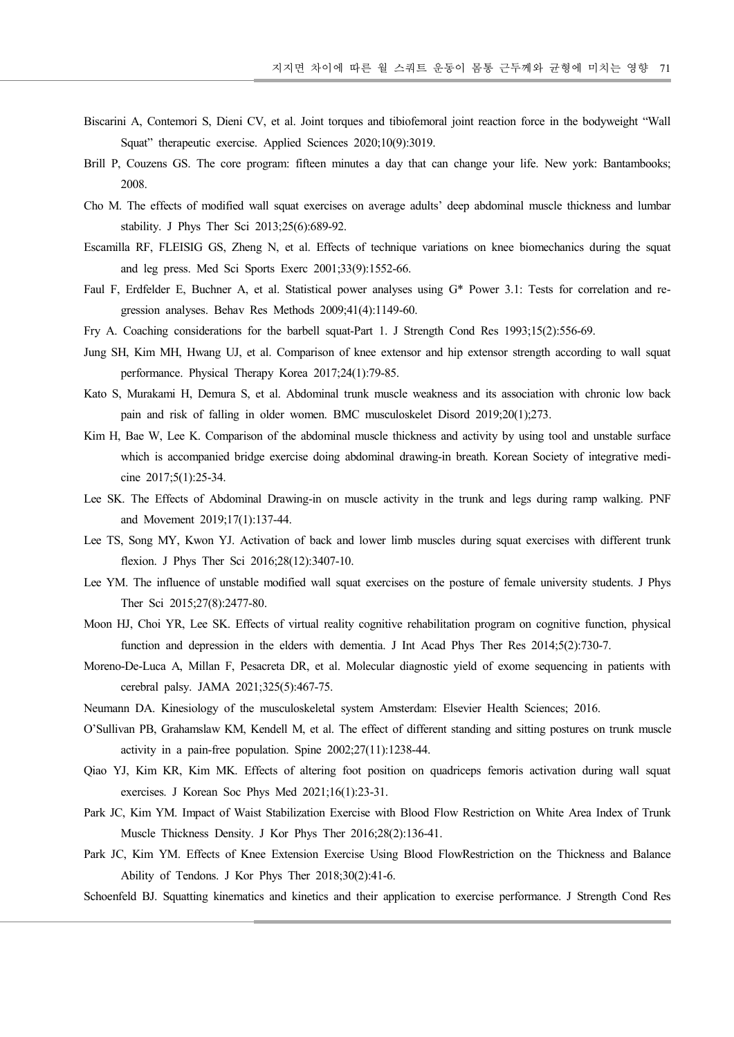- Biscarini A, Contemori S, Dieni CV, et al. Joint torques and tibiofemoral joint reaction force in the bodyweight "Wall Squat" therapeutic exercise. Applied Sciences 2020;10(9):3019.
- Brill P, Couzens GS. The core program: fifteen minutes a day that can change your life. New york: Bantambooks; 2008.
- Cho M. The effects of modified wall squat exercises on average adults' deep abdominal muscle thickness and lumbar stability. J Phys Ther Sci 2013;25(6):689-92.
- Escamilla RF, FLEISIG GS, Zheng N, et al. Effects of technique variations on knee biomechanics during the squat and leg press. Med Sci Sports Exerc 2001;33(9):1552-66.
- Faul F, Erdfelder E, Buchner A, et al. Statistical power analyses using G\* Power 3.1: Tests for correlation and regression analyses. Behav Res Methods 2009;41(4):1149-60.
- Fry A. Coaching considerations for the barbell squat-Part 1. J Strength Cond Res 1993;15(2):556-69.
- Jung SH, Kim MH, Hwang UJ, et al. Comparison of knee extensor and hip extensor strength according to wall squat performance. Physical Therapy Korea 2017;24(1):79-85.
- Kato S, Murakami H, Demura S, et al. Abdominal trunk muscle weakness and its association with chronic low back pain and risk of falling in older women. BMC musculoskelet Disord 2019;20(1);273.
- Kim H, Bae W, Lee K. Comparison of the abdominal muscle thickness and activity by using tool and unstable surface which is accompanied bridge exercise doing abdominal drawing-in breath. Korean Society of integrative medicine 2017;5(1):25-34.
- Lee SK. The Effects of Abdominal Drawing-in on muscle activity in the trunk and legs during ramp walking. PNF and Movement 2019;17(1):137-44.
- Lee TS, Song MY, Kwon YJ. Activation of back and lower limb muscles during squat exercises with different trunk flexion. J Phys Ther Sci 2016;28(12):3407-10.
- Lee YM. The influence of unstable modified wall squat exercises on the posture of female university students. J Phys Ther Sci 2015;27(8):2477-80.
- Moon HJ, Choi YR, Lee SK. Effects of virtual reality cognitive rehabilitation program on cognitive function, physical function and depression in the elders with dementia. J Int Acad Phys Ther Res 2014;5(2):730-7.
- Moreno-De-Luca A, Millan F, Pesacreta DR, et al. Molecular diagnostic yield of exome sequencing in patients with cerebral palsy. JAMA 2021;325(5):467-75.
- Neumann DA. Kinesiology of the musculoskeletal system Amsterdam: Elsevier Health Sciences; 2016.
- O'Sullivan PB, Grahamslaw KM, Kendell M, et al. The effect of different standing and sitting postures on trunk muscle activity in a pain-free population. Spine  $2002:27(11):1238-44$ .
- Qiao YJ, Kim KR, Kim MK. Effects of altering foot position on quadriceps femoris activation during wall squat exercises. J Korean Soc Phys Med 2021;16(1):23-31.
- Park JC, Kim YM. Impact of Waist Stabilization Exercise with Blood Flow Restriction on White Area Index of Trunk Muscle Thickness Density. J Kor Phys Ther 2016;28(2):136-41.
- Park JC, Kim YM. Effects of Knee Extension Exercise Using Blood FlowRestriction on the Thickness and Balance Ability of Tendons. J Kor Phys Ther 2018;30(2):41-6.
- Schoenfeld BJ. Squatting kinematics and kinetics and their application to exercise performance. J Strength Cond Res